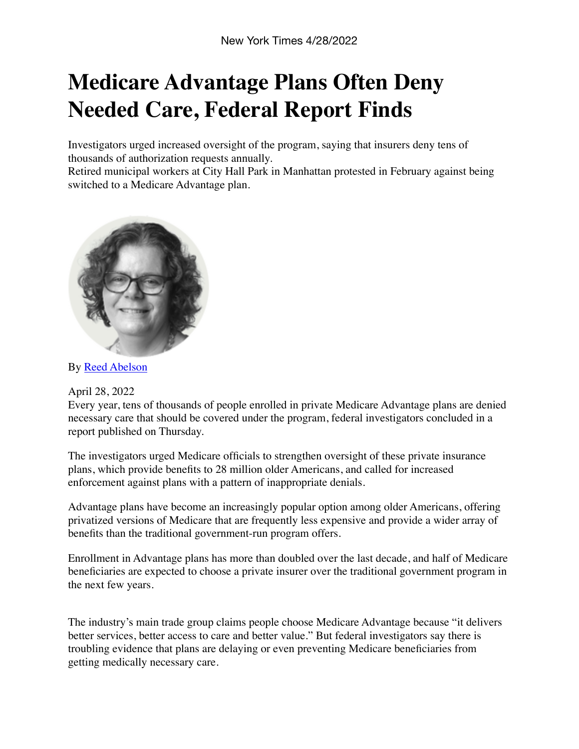## **Medicare Advantage Plans Often Deny Needed Care, Federal Report Finds**

Investigators urged increased oversight of the program, saying that insurers deny tens of thousands of authorization requests annually.

Retired municipal workers at City Hall Park in Manhattan protested in February against being switched to a Medicare Advantage plan.



By [Reed Abelson](https://www.nytimes.com/by/reed-abelson)

April 28, 2022

Every year, tens of thousands of people enrolled in private Medicare Advantage plans are denied necessary care that should be covered under the program, federal investigators concluded in a report published on Thursday.

The investigators urged Medicare officials to strengthen oversight of these private insurance plans, which provide benefits to 28 million older Americans, and called for increased enforcement against plans with a pattern of inappropriate denials.

Advantage plans have become an increasingly popular option among older Americans, offering privatized versions of Medicare that are frequently less expensive and provide a wider array of benefits than the traditional government-run program offers.

Enrollment in Advantage plans has more than doubled over the last decade, and half of Medicare beneficiaries are expected to choose a private insurer over the traditional government program in the next few years.

The industry's main trade group claims people choose Medicare Advantage because "it delivers better services, better access to care and better value." But federal investigators say there is troubling evidence that plans are delaying or even preventing Medicare beneficiaries from getting medically necessary care.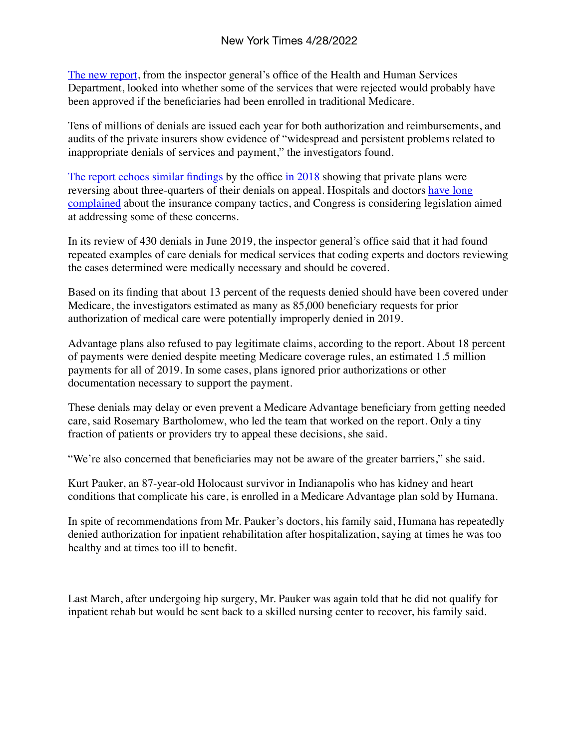[The new report](https://oig.hhs.gov/oei/reports/OEI-09-18-00260.pdf), from the inspector general's office of the Health and Human Services Department, looked into whether some of the services that were rejected would probably have been approved if the beneficiaries had been enrolled in traditional Medicare.

Tens of millions of denials are issued each year for both authorization and reimbursements, and audits of the private insurers show evidence of "widespread and persistent problems related to inappropriate denials of services and payment," the investigators found.

[The report echoes similar findings](https://www.nytimes.com/2018/10/13/us/politics/medicare-claims-private-plans.html) by the office [in 2018](https://oig.hhs.gov/oei/reports/oei-09-16-00410.asp) showing that private plans were reversing about three-quarters of their denials on appeal. Hospitals and doctors have long [complained](https://www.aha.org/system/files/media/file/2020/12/addressing-commercial-health-plan-abuses-ensure-fair-coverage-patients-providers.pdf) about the insurance company tactics, and Congress is considering legislation aimed at addressing some of these concerns.

In its review of 430 denials in June 2019, the inspector general's office said that it had found repeated examples of care denials for medical services that coding experts and doctors reviewing the cases determined were medically necessary and should be covered.

Based on its finding that about 13 percent of the requests denied should have been covered under Medicare, the investigators estimated as many as 85,000 beneficiary requests for prior authorization of medical care were potentially improperly denied in 2019.

Advantage plans also refused to pay legitimate claims, according to the report. About 18 percent of payments were denied despite meeting Medicare coverage rules, an estimated 1.5 million payments for all of 2019. In some cases, plans ignored prior authorizations or other documentation necessary to support the payment.

These denials may delay or even prevent a Medicare Advantage beneficiary from getting needed care, said Rosemary Bartholomew, who led the team that worked on the report. Only a tiny fraction of patients or providers try to appeal these decisions, she said.

"We're also concerned that beneficiaries may not be aware of the greater barriers," she said.

Kurt Pauker, an 87-year-old Holocaust survivor in Indianapolis who has kidney and heart conditions that complicate his care, is enrolled in a Medicare Advantage plan sold by Humana.

In spite of recommendations from Mr. Pauker's doctors, his family said, Humana has repeatedly denied authorization for inpatient rehabilitation after hospitalization, saying at times he was too healthy and at times too ill to benefit.

Last March, after undergoing hip surgery, Mr. Pauker was again told that he did not qualify for inpatient rehab but would be sent back to a skilled nursing center to recover, his family said.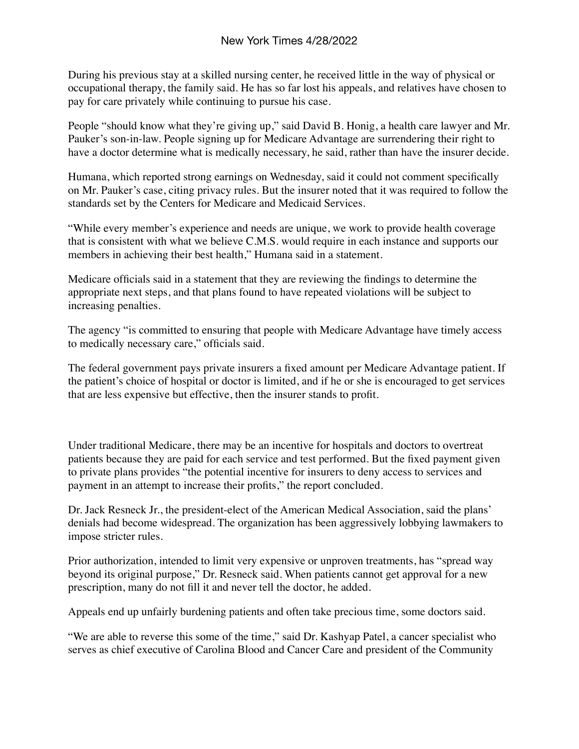During his previous stay at a skilled nursing center, he received little in the way of physical or occupational therapy, the family said. He has so far lost his appeals, and relatives have chosen to pay for care privately while continuing to pursue his case.

People "should know what they're giving up," said David B. Honig, a health care lawyer and Mr. Pauker's son-in-law. People signing up for Medicare Advantage are surrendering their right to have a doctor determine what is medically necessary, he said, rather than have the insurer decide.

Humana, which reported strong earnings on Wednesday, said it could not comment specifically on Mr. Pauker's case, citing privacy rules. But the insurer noted that it was required to follow the standards set by the Centers for Medicare and Medicaid Services.

"While every member's experience and needs are unique, we work to provide health coverage that is consistent with what we believe C.M.S. would require in each instance and supports our members in achieving their best health," Humana said in a statement.

Medicare officials said in a statement that they are reviewing the findings to determine the appropriate next steps, and that plans found to have repeated violations will be subject to increasing penalties.

The agency "is committed to ensuring that people with Medicare Advantage have timely access to medically necessary care," officials said.

The federal government pays private insurers a fixed amount per Medicare Advantage patient. If the patient's choice of hospital or doctor is limited, and if he or she is encouraged to get services that are less expensive but effective, then the insurer stands to profit.

Under traditional Medicare, there may be an incentive for hospitals and doctors to overtreat patients because they are paid for each service and test performed. But the fixed payment given to private plans provides "the potential incentive for insurers to deny access to services and payment in an attempt to increase their profits," the report concluded.

Dr. Jack Resneck Jr., the president-elect of the American Medical Association, said the plans' denials had become widespread. The organization has been aggressively lobbying lawmakers to impose stricter rules.

Prior authorization, intended to limit very expensive or unproven treatments, has "spread way beyond its original purpose," Dr. Resneck said. When patients cannot get approval for a new prescription, many do not fill it and never tell the doctor, he added.

Appeals end up unfairly burdening patients and often take precious time, some doctors said.

"We are able to reverse this some of the time," said Dr. Kashyap Patel, a cancer specialist who serves as chief executive of Carolina Blood and Cancer Care and president of the Community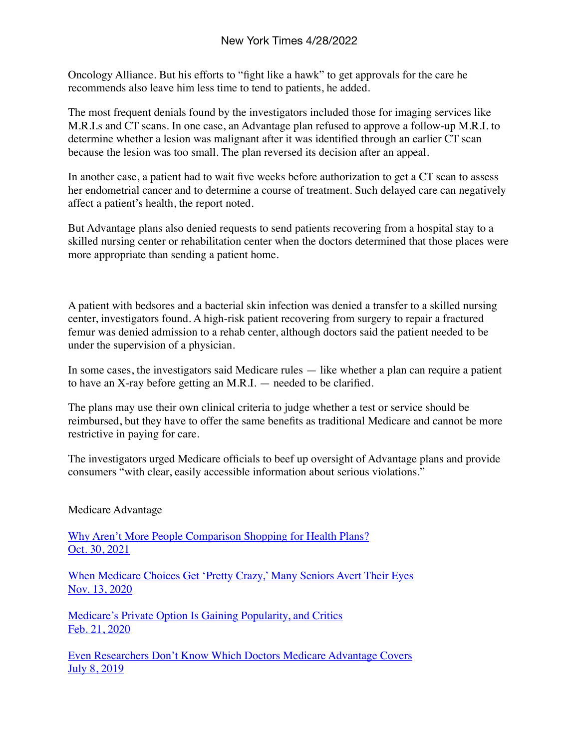Oncology Alliance. But his efforts to "fight like a hawk" to get approvals for the care he recommends also leave him less time to tend to patients, he added.

The most frequent denials found by the investigators included those for imaging services like M.R.I.s and CT scans. In one case, an Advantage plan refused to approve a follow-up M.R.I. to determine whether a lesion was malignant after it was identified through an earlier CT scan because the lesion was too small. The plan reversed its decision after an appeal.

In another case, a patient had to wait five weeks before authorization to get a CT scan to assess her endometrial cancer and to determine a course of treatment. Such delayed care can negatively affect a patient's health, the report noted.

But Advantage plans also denied requests to send patients recovering from a hospital stay to a skilled nursing center or rehabilitation center when the doctors determined that those places were more appropriate than sending a patient home.

A patient with bedsores and a bacterial skin infection was denied a transfer to a skilled nursing center, investigators found. A high-risk patient recovering from surgery to repair a fractured femur was denied admission to a rehab center, although doctors said the patient needed to be under the supervision of a physician.

In some cases, the investigators said Medicare rules — like whether a plan can require a patient to have an X-ray before getting an M.R.I. — needed to be clarified.

The plans may use their own clinical criteria to judge whether a test or service should be reimbursed, but they have to offer the same benefits as traditional Medicare and cannot be more restrictive in paying for care.

The investigators urged Medicare officials to beef up oversight of Advantage plans and provide consumers "with clear, easily accessible information about serious violations."

Medicare Advantage

[Why Aren't More People Comparison Shopping for Health Plans?](https://www.nytimes.com/2021/10/30/health/open-enrollment-health-insurance-medicare.html?action=click&module=RelatedLinks&pgtype=Article) [Oct. 30, 2021](https://www.nytimes.com/2021/10/30/health/open-enrollment-health-insurance-medicare.html?action=click&module=RelatedLinks&pgtype=Article)

[When Medicare Choices Get 'Pretty Crazy,' Many Seniors Avert Their Eyes](https://www.nytimes.com/2020/11/13/business/medicare-advantage-retirement.html?action=click&module=RelatedLinks&pgtype=Article) [Nov. 13, 2020](https://www.nytimes.com/2020/11/13/business/medicare-advantage-retirement.html?action=click&module=RelatedLinks&pgtype=Article)

[Medicare's Private Option Is Gaining Popularity, and Critics](https://www.nytimes.com/2020/02/21/business/medicare-advantage-retirement.html?action=click&module=RelatedLinks&pgtype=Article) [Feb. 21, 2020](https://www.nytimes.com/2020/02/21/business/medicare-advantage-retirement.html?action=click&module=RelatedLinks&pgtype=Article)

[Even Researchers Don't Know Which Doctors Medicare Advantage Covers](https://www.nytimes.com/2019/07/08/upshot/medicare-advantage-doctors-directories.html?action=click&module=RelatedLinks&pgtype=Article) [July 8, 2019](https://www.nytimes.com/2019/07/08/upshot/medicare-advantage-doctors-directories.html?action=click&module=RelatedLinks&pgtype=Article)